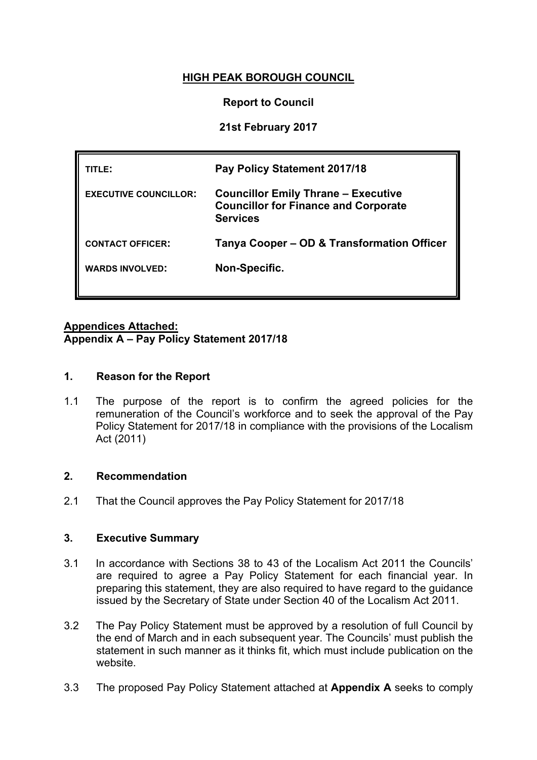# **HIGH PEAK BOROUGH COUNCIL**

## **Report to Council**

# **21st February 2017**

| TITLE:                       | Pay Policy Statement 2017/18                                                                                 |
|------------------------------|--------------------------------------------------------------------------------------------------------------|
| <b>EXECUTIVE COUNCILLOR:</b> | <b>Councillor Emily Thrane – Executive</b><br><b>Councillor for Finance and Corporate</b><br><b>Services</b> |
| <b>CONTACT OFFICER:</b>      | Tanya Cooper – OD & Transformation Officer                                                                   |
| <b>WARDS INVOLVED:</b>       | Non-Specific.                                                                                                |
|                              |                                                                                                              |

## **Appendices Attached: Appendix A – Pay Policy Statement 2017/18**

#### **1. Reason for the Report**

1.1 The purpose of the report is to confirm the agreed policies for the remuneration of the Council's workforce and to seek the approval of the Pay Policy Statement for 2017/18 in compliance with the provisions of the Localism Act (2011)

#### **2. Recommendation**

2.1 That the Council approves the Pay Policy Statement for 2017/18

#### **3. Executive Summary**

- 3.1 In accordance with Sections 38 to 43 of the Localism Act 2011 the Councils' are required to agree a Pay Policy Statement for each financial year. In preparing this statement, they are also required to have regard to the guidance issued by the Secretary of State under Section 40 of the Localism Act 2011.
- 3.2 The Pay Policy Statement must be approved by a resolution of full Council by the end of March and in each subsequent year. The Councils' must publish the statement in such manner as it thinks fit, which must include publication on the website.
- 3.3 The proposed Pay Policy Statement attached at **Appendix A** seeks to comply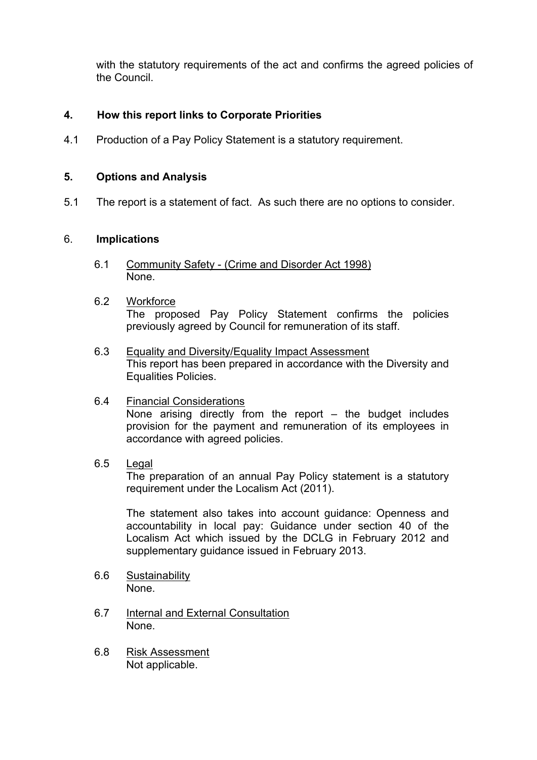with the statutory requirements of the act and confirms the agreed policies of the Council.

## **4. How this report links to Corporate Priorities**

4.1 Production of a Pay Policy Statement is a statutory requirement.

#### **5. Options and Analysis**

5.1 The report is a statement of fact. As such there are no options to consider.

#### 6. **Implications**

- 6.1 Community Safety (Crime and Disorder Act 1998) None.
- 6.2 Workforce The proposed Pay Policy Statement confirms the policies previously agreed by Council for remuneration of its staff.
- 6.3 Equality and Diversity/Equality Impact Assessment This report has been prepared in accordance with the Diversity and Equalities Policies.

# 6.4 Financial Considerations

None arising directly from the report – the budget includes provision for the payment and remuneration of its employees in accordance with agreed policies.

#### 6.5 Legal

The preparation of an annual Pay Policy statement is a statutory requirement under the Localism Act (2011).

The statement also takes into account guidance: Openness and accountability in local pay: Guidance under section 40 of the Localism Act which issued by the DCLG in February 2012 and supplementary guidance issued in February 2013.

- 6.6 Sustainability None.
- 6.7 Internal and External Consultation None.
- 6.8 Risk Assessment Not applicable.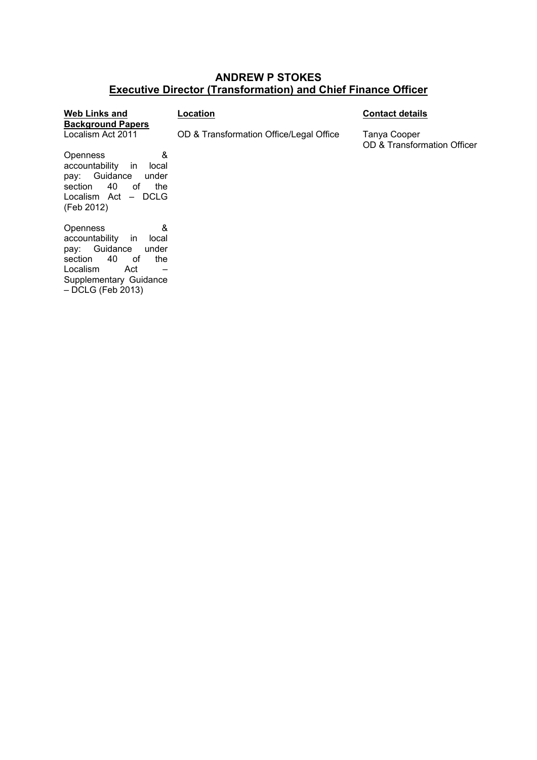# **ANDREW P STOKES Executive Director (Transformation) and Chief Finance Officer**

| <b>Web Links and</b>                     | Location                                | <b>Contact details</b>                      |
|------------------------------------------|-----------------------------------------|---------------------------------------------|
| <b>Background Papers</b>                 |                                         |                                             |
| Localism Act 2011                        | OD & Transformation Office/Legal Office | Tanya Cooper<br>OD & Transformation Officer |
| &<br>Openness                            |                                         |                                             |
| accountability<br>in<br>local            |                                         |                                             |
| Guidance<br>under<br>pay:                |                                         |                                             |
| 40<br>section<br>οf<br>the               |                                         |                                             |
| Localism Act - DCLG                      |                                         |                                             |
| (Feb 2012)                               |                                         |                                             |
| &<br>Openness                            |                                         |                                             |
| accountability<br><sub>in</sub><br>local |                                         |                                             |
| Guidance<br>under<br>pay:                |                                         |                                             |
| 40<br>section<br>οf<br>the               |                                         |                                             |
| Localism<br>Act                          |                                         |                                             |

Supplementary Guidance – DCLG (Feb 2013)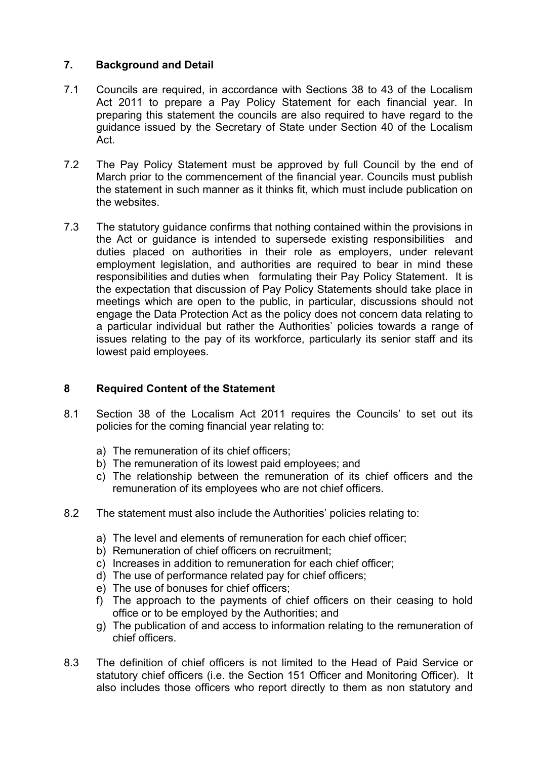# **7. Background and Detail**

- 7.1 Councils are required, in accordance with Sections 38 to 43 of the Localism Act 2011 to prepare a Pay Policy Statement for each financial year. In preparing this statement the councils are also required to have regard to the guidance issued by the Secretary of State under Section 40 of the Localism Act.
- 7.2 The Pay Policy Statement must be approved by full Council by the end of March prior to the commencement of the financial year. Councils must publish the statement in such manner as it thinks fit, which must include publication on the websites.
- 7.3 The statutory guidance confirms that nothing contained within the provisions in the Act or guidance is intended to supersede existing responsibilities and duties placed on authorities in their role as employers, under relevant employment legislation, and authorities are required to bear in mind these responsibilities and duties when formulating their Pay Policy Statement. It is the expectation that discussion of Pay Policy Statements should take place in meetings which are open to the public, in particular, discussions should not engage the Data Protection Act as the policy does not concern data relating to a particular individual but rather the Authorities' policies towards a range of issues relating to the pay of its workforce, particularly its senior staff and its lowest paid employees.

## **8 Required Content of the Statement**

- 8.1 Section 38 of the Localism Act 2011 requires the Councils' to set out its policies for the coming financial year relating to:
	- a) The remuneration of its chief officers;
	- b) The remuneration of its lowest paid employees; and
	- c) The relationship between the remuneration of its chief officers and the remuneration of its employees who are not chief officers.
- 8.2 The statement must also include the Authorities' policies relating to:
	- a) The level and elements of remuneration for each chief officer;
	- b) Remuneration of chief officers on recruitment;
	- c) Increases in addition to remuneration for each chief officer;
	- d) The use of performance related pay for chief officers;
	- e) The use of bonuses for chief officers;
	- f) The approach to the payments of chief officers on their ceasing to hold office or to be employed by the Authorities; and
	- g) The publication of and access to information relating to the remuneration of chief officers.
- 8.3 The definition of chief officers is not limited to the Head of Paid Service or statutory chief officers (i.e. the Section 151 Officer and Monitoring Officer). It also includes those officers who report directly to them as non statutory and